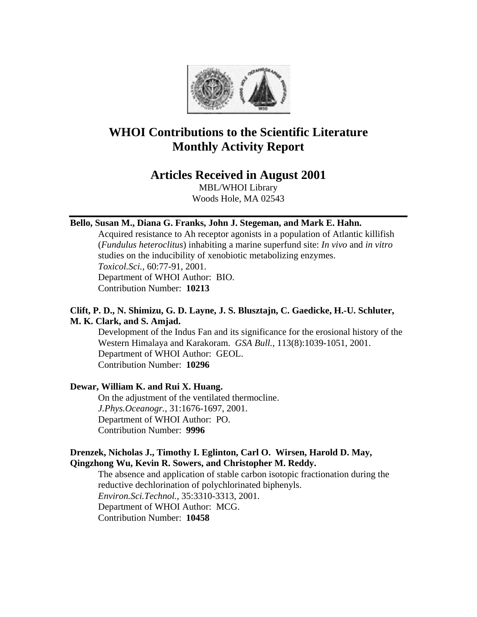

# **WHOI Contributions to the Scientific Literature Monthly Activity Report**

# **Articles Received in August 2001**

MBL/WHOI Library Woods Hole, MA 02543

# **Bello, Susan M., Diana G. Franks, John J. Stegeman, and Mark E. Hahn.**

Acquired resistance to Ah receptor agonists in a population of Atlantic killifish (*Fundulus heteroclitus*) inhabiting a marine superfund site: *In vivo* and *in vitro* studies on the inducibility of xenobiotic metabolizing enzymes. *Toxicol.Sci.*, 60:77-91, 2001. Department of WHOI Author: BIO.

Contribution Number: **10213**

# **Clift, P. D., N. Shimizu, G. D. Layne, J. S. Blusztajn, C. Gaedicke, H.-U. Schluter, M. K. Clark, and S. Amjad.**

Development of the Indus Fan and its significance for the erosional history of the Western Himalaya and Karakoram. *GSA Bull.*, 113(8):1039-1051, 2001. Department of WHOI Author: GEOL. Contribution Number: **10296**

# **Dewar, William K. and Rui X. Huang.**

On the adjustment of the ventilated thermocline. *J.Phys.Oceanogr.*, 31:1676-1697, 2001. Department of WHOI Author: PO. Contribution Number: **9996**

# **Drenzek, Nicholas J., Timothy I. Eglinton, Carl O. Wirsen, Harold D. May, Qingzhong Wu, Kevin R. Sowers, and Christopher M. Reddy.**

The absence and application of stable carbon isotopic fractionation during the reductive dechlorination of polychlorinated biphenyls. *Environ.Sci.Technol.*, 35:3310-3313, 2001. Department of WHOI Author: MCG. Contribution Number: **10458**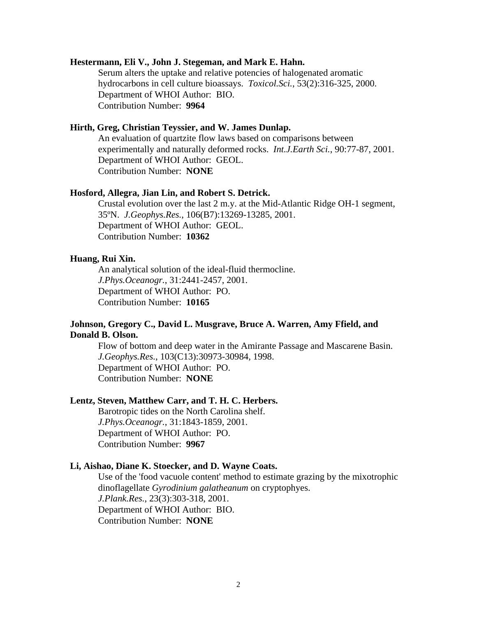### **Hestermann, Eli V., John J. Stegeman, and Mark E. Hahn.**

Serum alters the uptake and relative potencies of halogenated aromatic hydrocarbons in cell culture bioassays. *Toxicol.Sci.*, 53(2):316-325, 2000. Department of WHOI Author: BIO. Contribution Number: **9964**

# **Hirth, Greg, Christian Teyssier, and W. James Dunlap.**

An evaluation of quartzite flow laws based on comparisons between experimentally and naturally deformed rocks. *Int.J.Earth Sci.*, 90:77-87, 2001. Department of WHOI Author: GEOL. Contribution Number: **NONE**

# **Hosford, Allegra, Jian Lin, and Robert S. Detrick.**

Crustal evolution over the last 2 m.y. at the Mid-Atlantic Ridge OH-1 segment, 35ºN. *J.Geophys.Res.*, 106(B7):13269-13285, 2001. Department of WHOI Author: GEOL. Contribution Number: **10362**

# **Huang, Rui Xin.**

An analytical solution of the ideal-fluid thermocline. *J.Phys.Oceanogr.*, 31:2441-2457, 2001. Department of WHOI Author: PO. Contribution Number: **10165**

# **Johnson, Gregory C., David L. Musgrave, Bruce A. Warren, Amy Ffield, and Donald B. Olson.**

Flow of bottom and deep water in the Amirante Passage and Mascarene Basin. *J.Geophys.Res.*, 103(C13):30973-30984, 1998. Department of WHOI Author: PO. Contribution Number: **NONE**

### **Lentz, Steven, Matthew Carr, and T. H. C. Herbers.**

Barotropic tides on the North Carolina shelf. *J.Phys.Oceanogr.*, 31:1843-1859, 2001. Department of WHOI Author: PO. Contribution Number: **9967**

### **Li, Aishao, Diane K. Stoecker, and D. Wayne Coats.**

Use of the 'food vacuole content' method to estimate grazing by the mixotrophic dinoflagellate *Gyrodinium galatheanum* on cryptophyes. *J.Plank.Res.*, 23(3):303-318, 2001. Department of WHOI Author: BIO. Contribution Number: **NONE**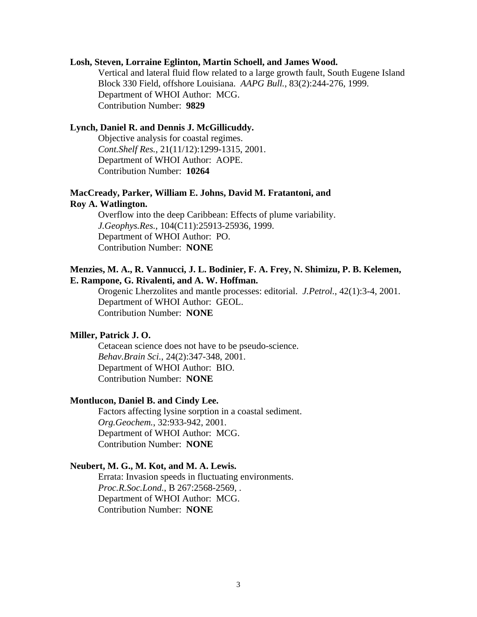### **Losh, Steven, Lorraine Eglinton, Martin Schoell, and James Wood.**

Vertical and lateral fluid flow related to a large growth fault, South Eugene Island Block 330 Field, offshore Louisiana. *AAPG Bull.*, 83(2):244-276, 1999. Department of WHOI Author: MCG. Contribution Number: **9829**

#### **Lynch, Daniel R. and Dennis J. McGillicuddy.**

Objective analysis for coastal regimes. *Cont.Shelf Res.*, 21(11/12):1299-1315, 2001. Department of WHOI Author: AOPE. Contribution Number: **10264**

# **MacCready, Parker, William E. Johns, David M. Fratantoni, and Roy A. Watlington.**

Overflow into the deep Caribbean: Effects of plume variability. *J.Geophys.Res.*, 104(C11):25913-25936, 1999. Department of WHOI Author: PO. Contribution Number: **NONE**

# **Menzies, M. A., R. Vannucci, J. L. Bodinier, F. A. Frey, N. Shimizu, P. B. Kelemen, E. Rampone, G. Rivalenti, and A. W. Hoffman.**

Orogenic Lherzolites and mantle processes: editorial. *J.Petrol.*, 42(1):3-4, 2001. Department of WHOI Author: GEOL. Contribution Number: **NONE**

### **Miller, Patrick J. O.**

Cetacean science does not have to be pseudo-science. *Behav.Brain Sci.*, 24(2):347-348, 2001. Department of WHOI Author: BIO. Contribution Number: **NONE**

### **Montlucon, Daniel B. and Cindy Lee.**

Factors affecting lysine sorption in a coastal sediment. *Org.Geochem.*, 32:933-942, 2001. Department of WHOI Author: MCG. Contribution Number: **NONE**

#### **Neubert, M. G., M. Kot, and M. A. Lewis.**

Errata: Invasion speeds in fluctuating environments. *Proc.R.Soc.Lond.*, B 267:2568-2569, . Department of WHOI Author: MCG. Contribution Number: **NONE**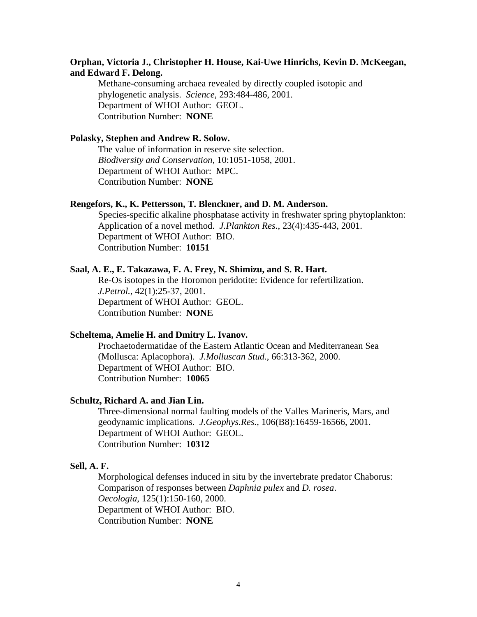# **Orphan, Victoria J., Christopher H. House, Kai-Uwe Hinrichs, Kevin D. McKeegan, and Edward F. Delong.**

Methane-consuming archaea revealed by directly coupled isotopic and phylogenetic analysis. *Science*, 293:484-486, 2001. Department of WHOI Author: GEOL. Contribution Number: **NONE**

### **Polasky, Stephen and Andrew R. Solow.**

The value of information in reserve site selection. *Biodiversity and Conservation*, 10:1051-1058, 2001. Department of WHOI Author: MPC. Contribution Number: **NONE**

#### **Rengefors, K., K. Pettersson, T. Blenckner, and D. M. Anderson.**

Species-specific alkaline phosphatase activity in freshwater spring phytoplankton: Application of a novel method. *J.Plankton Res.*, 23(4):435-443, 2001. Department of WHOI Author: BIO. Contribution Number: **10151**

# **Saal, A. E., E. Takazawa, F. A. Frey, N. Shimizu, and S. R. Hart.**

Re-Os isotopes in the Horomon peridotite: Evidence for refertilization. *J.Petrol.*, 42(1):25-37, 2001. Department of WHOI Author: GEOL. Contribution Number: **NONE**

### **Scheltema, Amelie H. and Dmitry L. Ivanov.**

Prochaetodermatidae of the Eastern Atlantic Ocean and Mediterranean Sea (Mollusca: Aplacophora). *J.Molluscan Stud.*, 66:313-362, 2000. Department of WHOI Author: BIO. Contribution Number: **10065**

### **Schultz, Richard A. and Jian Lin.**

Three-dimensional normal faulting models of the Valles Marineris, Mars, and geodynamic implications. *J.Geophys.Res.*, 106(B8):16459-16566, 2001. Department of WHOI Author: GEOL. Contribution Number: **10312**

#### **Sell, A. F.**

Morphological defenses induced in situ by the invertebrate predator Chaborus: Comparison of responses between *Daphnia pulex* and *D. rosea*. *Oecologia*, 125(1):150-160, 2000. Department of WHOI Author: BIO. Contribution Number: **NONE**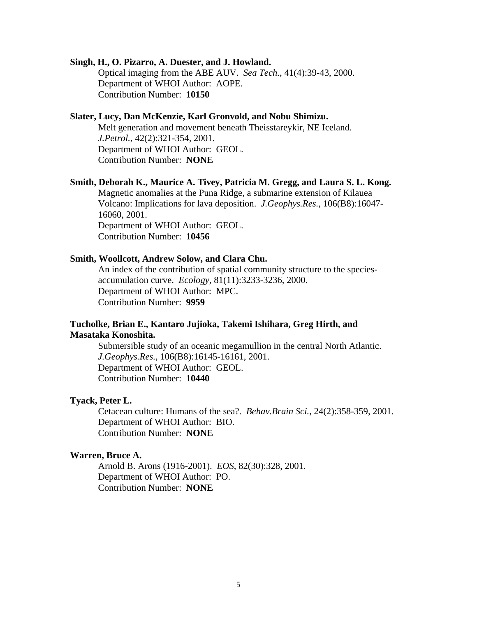#### **Singh, H., O. Pizarro, A. Duester, and J. Howland.**

Optical imaging from the ABE AUV. *Sea Tech.*, 41(4):39-43, 2000. Department of WHOI Author: AOPE. Contribution Number: **10150**

## **Slater, Lucy, Dan McKenzie, Karl Gronvold, and Nobu Shimizu.**

Melt generation and movement beneath Theisstareykir, NE Iceland. *J.Petrol.*, 42(2):321-354, 2001. Department of WHOI Author: GEOL. Contribution Number: **NONE**

#### **Smith, Deborah K., Maurice A. Tivey, Patricia M. Gregg, and Laura S. L. Kong.**

Magnetic anomalies at the Puna Ridge, a submarine extension of Kilauea Volcano: Implications for lava deposition. *J.Geophys.Res.*, 106(B8):16047- 16060, 2001. Department of WHOI Author: GEOL. Contribution Number: **10456**

# **Smith, Woollcott, Andrew Solow, and Clara Chu.**

An index of the contribution of spatial community structure to the speciesaccumulation curve. *Ecology*, 81(11):3233-3236, 2000. Department of WHOI Author: MPC. Contribution Number: **9959**

# **Tucholke, Brian E., Kantaro Jujioka, Takemi Ishihara, Greg Hirth, and Masataka Konoshita.**

Submersible study of an oceanic megamullion in the central North Atlantic. *J.Geophys.Res.*, 106(B8):16145-16161, 2001. Department of WHOI Author: GEOL. Contribution Number: **10440**

### **Tyack, Peter L.**

Cetacean culture: Humans of the sea?. *Behav.Brain Sci.*, 24(2):358-359, 2001. Department of WHOI Author: BIO. Contribution Number: **NONE**

### **Warren, Bruce A.**

Arnold B. Arons (1916-2001). *EOS*, 82(30):328, 2001. Department of WHOI Author: PO. Contribution Number: **NONE**